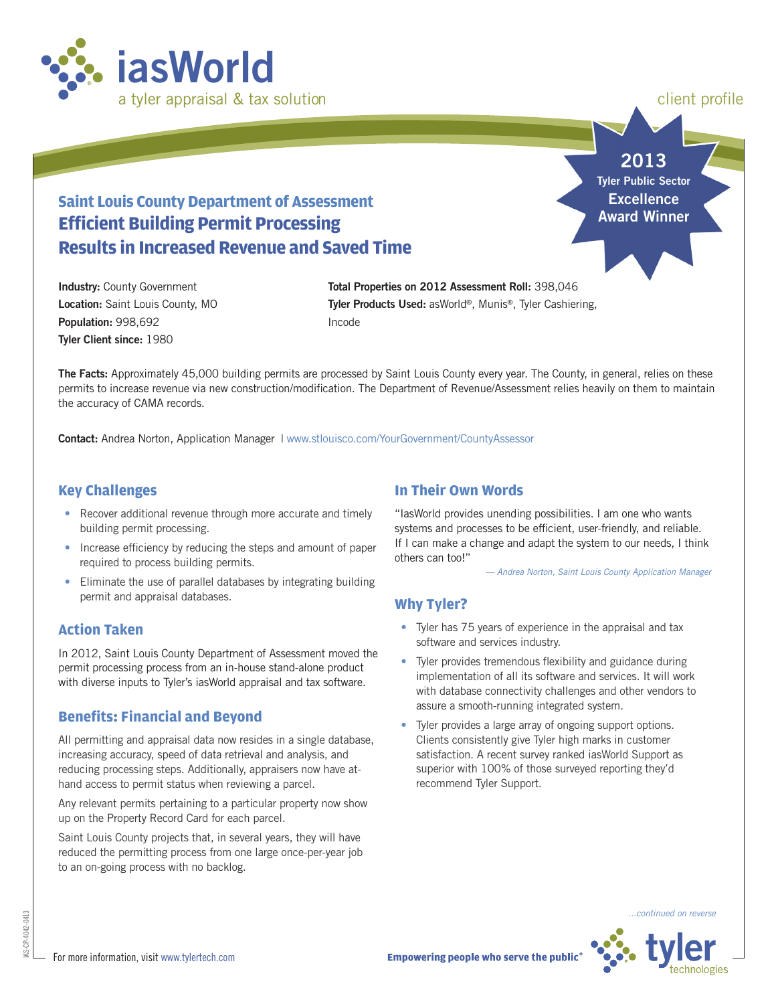

client profile

## **2013 Tyler Public Sector Excellence Award Winner**

# **Saint Louis County Department of Assessment Efficient Building Permit Processing Results in Increased Revenue and Saved Time**

**Industry:** County Government **Location:** Saint Louis County, MO **Population:** 998,692 **Tyler Client since:** 1980

**Total Properties on 2012 Assessment Roll:** 398,046 **Tyler Products Used:** asWorld®, Munis®, Tyler Cashiering, Incode

**The Facts:** Approximately 45,000 building permits are processed by Saint Louis County every year. The County, in general, relies on these permits to increase revenue via new construction/modification. The Department of Revenue/Assessment relies heavily on them to maintain the accuracy of CAMA records.

**Contact: Andrea Norton, Application Manager | [www.stlouisco.com/YourGovernment/CountyAssessor](http://www.stlouisco.com/YourGovernment/CountyAssessor)** 

## **Key Challenges**

- Recover additional revenue through more accurate and timely building permit processing.
- Increase efficiency by reducing the steps and amount of paper required to process building permits.
- Eliminate the use of parallel databases by integrating building permit and appraisal databases.

#### **Action Taken**

In 2012, Saint Louis County Department of Assessment moved the permit processing process from an in-house stand-alone product with diverse inputs to Tyler's iasWorld appraisal and tax software.

### **Benefits: Financial and Beyond**

All permitting and appraisal data now resides in a single database, increasing accuracy, speed of data retrieval and analysis, and reducing processing steps. Additionally, appraisers now have athand access to permit status when reviewing a parcel.

Any relevant permits pertaining to a particular property now show up on the Property Record Card for each parcel.

Saint Louis County projects that, in several years, they will have reduced the permitting process from one large once-per-year job to an on-going process with no backlog.

## **In Their Own Words**

"IasWorld provides unending possibilities. I am one who wants systems and processes to be efficient, user-friendly, and reliable. If I can make a change and adapt the system to our needs, I think others can too!"

 *— Andrea Norton, Saint Louis County Application Manager*

### **Why Tyler?**

- Tyler has 75 years of experience in the appraisal and tax software and services industry.
- Tyler provides tremendous flexibility and guidance during implementation of all its software and services. It will work with database connectivity challenges and other vendors to assure a smooth-running integrated system.
- Tyler provides a large array of ongoing support options. Clients consistently give Tyler high marks in customer satisfaction. A recent survey ranked iasWorld Support as superior with 100% of those surveyed reporting they'd recommend Tyler Support.



*...continued on reverse*